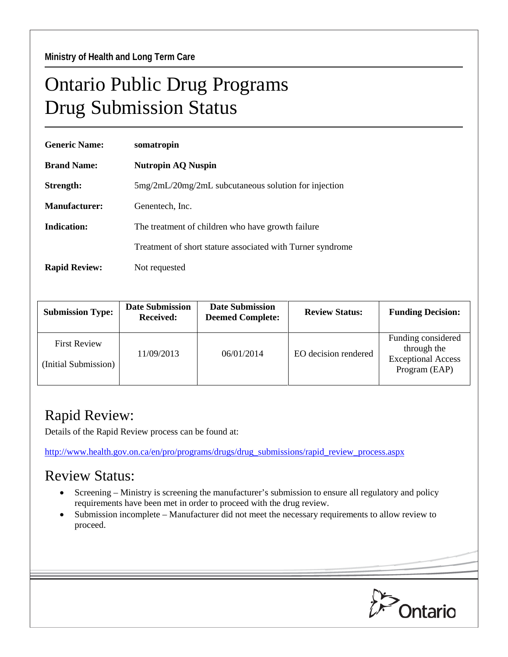## Ontario Public Drug Programs Drug Submission Status

| <b>Generic Name:</b> | somatropin                                                 |  |  |
|----------------------|------------------------------------------------------------|--|--|
| <b>Brand Name:</b>   | <b>Nutropin AQ Nuspin</b>                                  |  |  |
| Strength:            | $5mg/2mL/20mg/2mL$ subcutaneous solution for injection     |  |  |
| Manufacturer:        | Genentech, Inc.                                            |  |  |
| Indication:          | The treatment of children who have growth failure          |  |  |
|                      | Treatment of short stature associated with Turner syndrome |  |  |
| <b>Rapid Review:</b> | Not requested                                              |  |  |

| <b>Submission Type:</b>                     | <b>Date Submission</b><br><b>Received:</b> | <b>Date Submission</b><br><b>Deemed Complete:</b> | <b>Review Status:</b> | <b>Funding Decision:</b>                                                        |
|---------------------------------------------|--------------------------------------------|---------------------------------------------------|-----------------------|---------------------------------------------------------------------------------|
| <b>First Review</b><br>(Initial Submission) | 11/09/2013                                 | 06/01/2014                                        | EO decision rendered  | Funding considered<br>through the<br><b>Exceptional Access</b><br>Program (EAP) |

## Rapid Review:

Details of the Rapid Review process can be found at:

[http://www.health.gov.on.ca/en/pro/programs/drugs/drug\\_submissions/rapid\\_review\\_process.aspx](http://www.health.gov.on.ca/en/pro/programs/drugs/drug_submissions/rapid_review_process.aspx)

## Review Status:

- Screening Ministry is screening the manufacturer's submission to ensure all regulatory and policy requirements have been met in order to proceed with the drug review.
- Submission incomplete Manufacturer did not meet the necessary requirements to allow review to proceed.